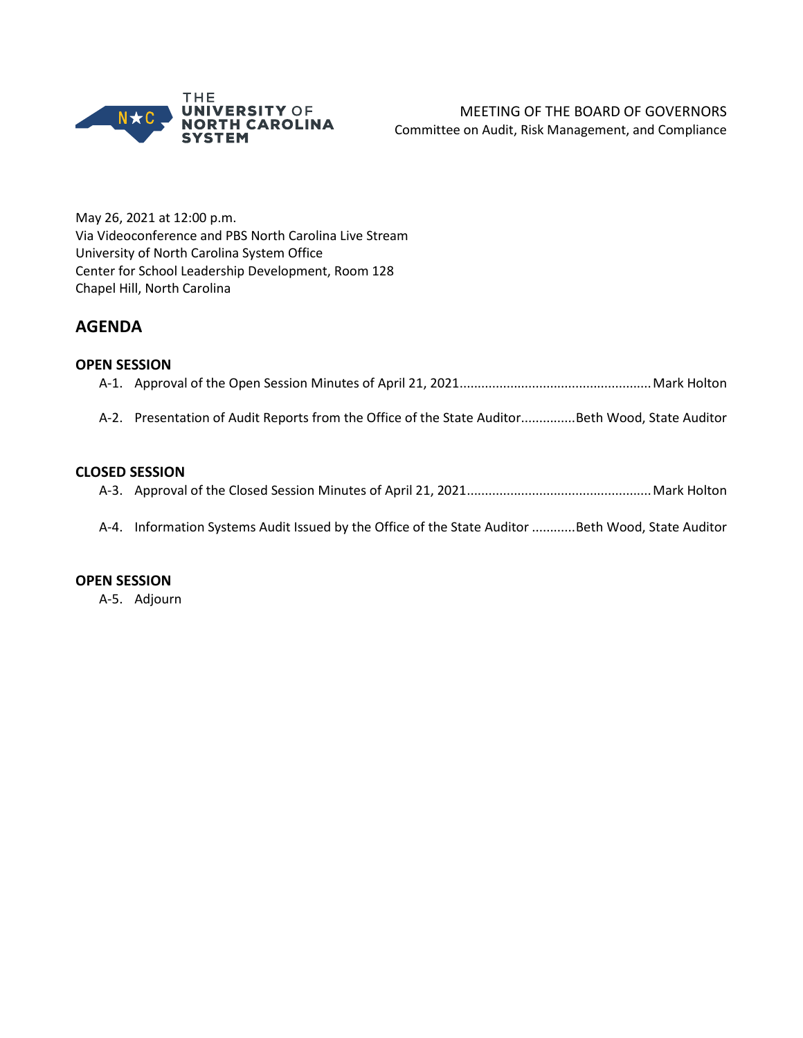

May 26, 2021 at 12:00 p.m. Via Videoconference and PBS North Carolina Live Stream University of North Carolina System Office Center for School Leadership Development, Room 128 Chapel Hill, North Carolina

# **AGENDA**

## **OPEN SESSION**

## A-2. Presentation of Audit Reports from the Office of the State Auditor...............Beth Wood, State Auditor

## **CLOSED SESSION**

A-3. Approval of the Closed Session Minutes of April 21, 2021...................................................Mark Holton

A-4. Information Systems Audit Issued by the Office of the State Auditor ............Beth Wood, State Auditor

### **OPEN SESSION**

A-5. Adjourn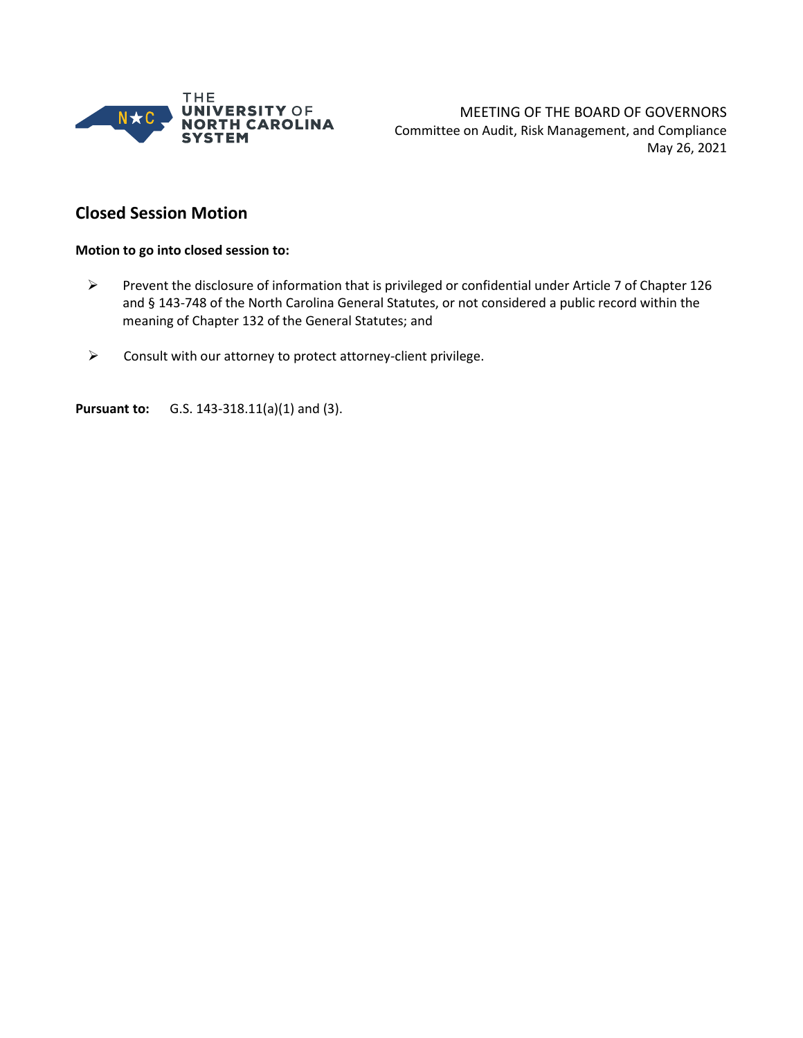

MEETING OF THE BOARD OF GOVERNORS Committee on Audit, Risk Management, and Compliance May 26, 2021

# **Closed Session Motion**

#### **Motion to go into closed session to:**

- Prevent the disclosure of information that is privileged or confidential under Article 7 of Chapter 126 and § 143-748 of the North Carolina General Statutes, or not considered a public record within the meaning of Chapter 132 of the General Statutes; and
- $\triangleright$  Consult with our attorney to protect attorney-client privilege.

**Pursuant to:** G.S. 143-318.11(a)(1) and (3).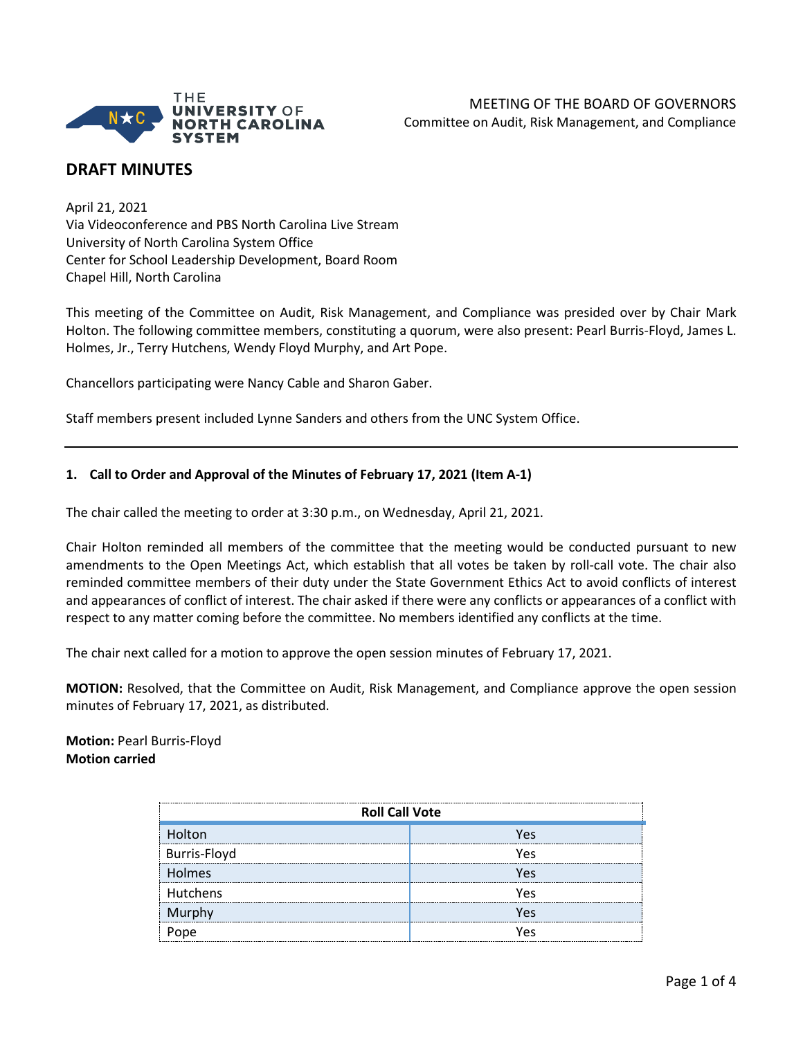

# **DRAFT MINUTES**

April 21, 2021 Via Videoconference and PBS North Carolina Live Stream University of North Carolina System Office Center for School Leadership Development, Board Room Chapel Hill, North Carolina

This meeting of the Committee on Audit, Risk Management, and Compliance was presided over by Chair Mark Holton. The following committee members, constituting a quorum, were also present: Pearl Burris-Floyd, James L. Holmes, Jr., Terry Hutchens, Wendy Floyd Murphy, and Art Pope.

Chancellors participating were Nancy Cable and Sharon Gaber.

Staff members present included Lynne Sanders and others from the UNC System Office.

### **1. Call to Order and Approval of the Minutes of February 17, 2021 (Item A-1)**

The chair called the meeting to order at 3:30 p.m., on Wednesday, April 21, 2021.

Chair Holton reminded all members of the committee that the meeting would be conducted pursuant to new amendments to the Open Meetings Act, which establish that all votes be taken by roll-call vote. The chair also reminded committee members of their duty under the State Government Ethics Act to avoid conflicts of interest and appearances of conflict of interest. The chair asked if there were any conflicts or appearances of a conflict with respect to any matter coming before the committee. No members identified any conflicts at the time.

The chair next called for a motion to approve the open session minutes of February 17, 2021.

**MOTION:** Resolved, that the Committee on Audit, Risk Management, and Compliance approve the open session minutes of February 17, 2021, as distributed.

**Motion:** Pearl Burris-Floyd **Motion carried**

| <b>Roll Call Vote</b> |      |  |  |
|-----------------------|------|--|--|
| <b>Holton</b>         | Υρς  |  |  |
| <b>Burris-Floyd</b>   | Υρς  |  |  |
| Holmes                | Υρς  |  |  |
| Hutchens              | Υρς  |  |  |
| Murphy                | Υρς  |  |  |
|                       | ⁄ ρς |  |  |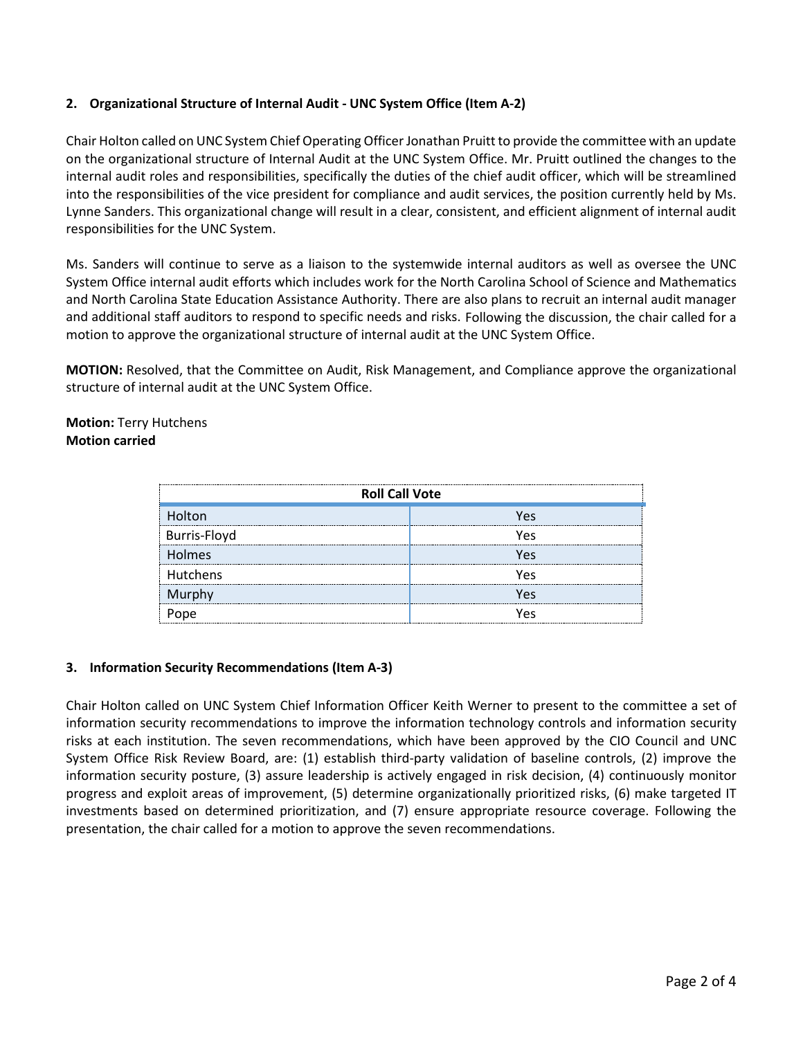## **2. Organizational Structure of Internal Audit - UNC System Office (Item A-2)**

Chair Holton called on UNC System Chief Operating Officer Jonathan Pruitt to provide the committee with an update on the organizational structure of Internal Audit at the UNC System Office. Mr. Pruitt outlined the changes to the internal audit roles and responsibilities, specifically the duties of the chief audit officer, which will be streamlined into the responsibilities of the vice president for compliance and audit services, the position currently held by Ms. Lynne Sanders. This organizational change will result in a clear, consistent, and efficient alignment of internal audit responsibilities for the UNC System.

Ms. Sanders will continue to serve as a liaison to the systemwide internal auditors as well as oversee the UNC System Office internal audit efforts which includes work for the North Carolina School of Science and Mathematics and North Carolina State Education Assistance Authority. There are also plans to recruit an internal audit manager and additional staff auditors to respond to specific needs and risks. Following the discussion, the chair called for a motion to approve the organizational structure of internal audit at the UNC System Office.

**MOTION:** Resolved, that the Committee on Audit, Risk Management, and Compliance approve the organizational structure of internal audit at the UNC System Office.

### **Motion:** Terry Hutchens **Motion carried**

| <b>Roll Call Vote</b> |     |  |  |
|-----------------------|-----|--|--|
| olton<br>             | V۵ς |  |  |
| Burris-Floyd          | Υρς |  |  |
| <b>Holmes</b>         | Υρς |  |  |
| Hutchens              | ۷ρς |  |  |
|                       | ۵۹′ |  |  |
|                       |     |  |  |

### **3. Information Security Recommendations (Item A-3)**

Chair Holton called on UNC System Chief Information Officer Keith Werner to present to the committee a set of information security recommendations to improve the information technology controls and information security risks at each institution. The seven recommendations, which have been approved by the CIO Council and UNC System Office Risk Review Board, are: (1) establish third-party validation of baseline controls, (2) improve the information security posture, (3) assure leadership is actively engaged in risk decision, (4) continuously monitor progress and exploit areas of improvement, (5) determine organizationally prioritized risks, (6) make targeted IT investments based on determined prioritization, and (7) ensure appropriate resource coverage. Following the presentation, the chair called for a motion to approve the seven recommendations.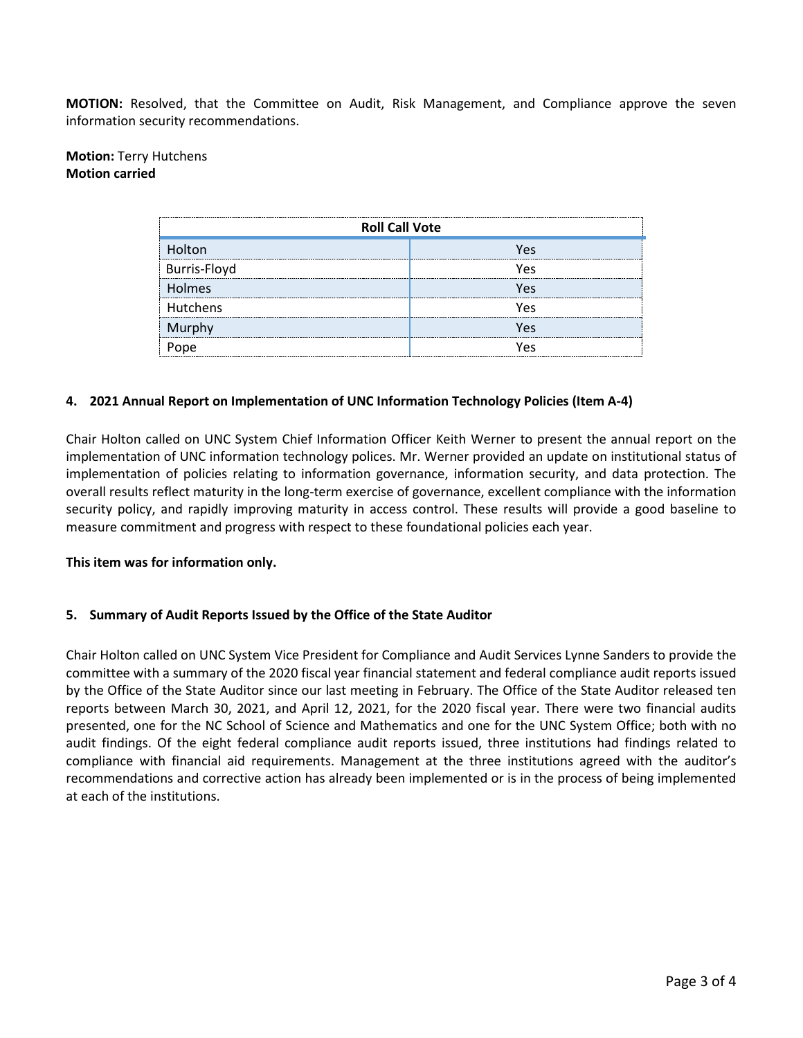**MOTION:** Resolved, that the Committee on Audit, Risk Management, and Compliance approve the seven information security recommendations.

### **Motion:** Terry Hutchens **Motion carried**

| <b>Roll Call Vote</b> |      |  |  |
|-----------------------|------|--|--|
| Holton                | Υρς  |  |  |
| Burris-Floyd          | Υρς  |  |  |
| Holmes                | Υρς  |  |  |
| Hutchens              | Υρς  |  |  |
| Murphy                | Υρς  |  |  |
|                       | ، ۱۵ |  |  |

#### **4. 2021 Annual Report on Implementation of UNC Information Technology Policies (Item A-4)**

Chair Holton called on UNC System Chief Information Officer Keith Werner to present the annual report on the implementation of UNC information technology polices. Mr. Werner provided an update on institutional status of implementation of policies relating to information governance, information security, and data protection. The overall results reflect maturity in the long-term exercise of governance, excellent compliance with the information security policy, and rapidly improving maturity in access control. These results will provide a good baseline to measure commitment and progress with respect to these foundational policies each year.

#### **This item was for information only.**

#### **5. Summary of Audit Reports Issued by the Office of the State Auditor**

Chair Holton called on UNC System Vice President for Compliance and Audit Services Lynne Sanders to provide the committee with a summary of the 2020 fiscal year financial statement and federal compliance audit reports issued by the Office of the State Auditor since our last meeting in February. The Office of the State Auditor released ten reports between March 30, 2021, and April 12, 2021, for the 2020 fiscal year. There were two financial audits presented, one for the NC School of Science and Mathematics and one for the UNC System Office; both with no audit findings. Of the eight federal compliance audit reports issued, three institutions had findings related to compliance with financial aid requirements. Management at the three institutions agreed with the auditor's recommendations and corrective action has already been implemented or is in the process of being implemented at each of the institutions.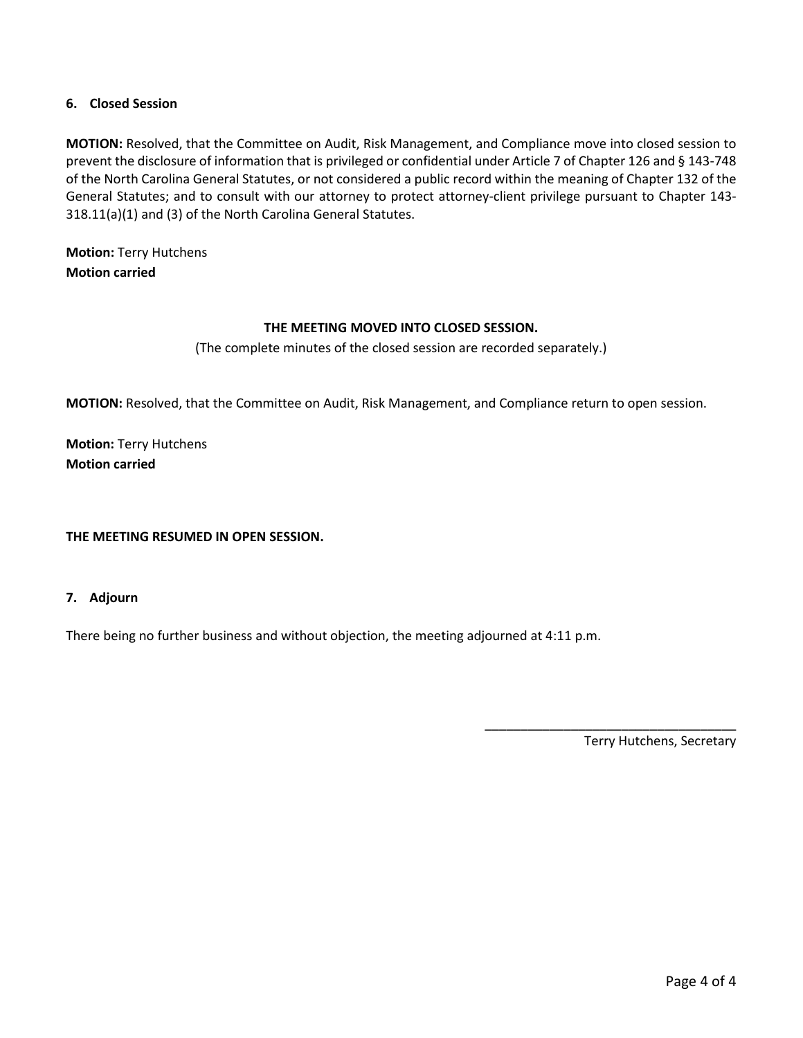### **6. Closed Session**

**MOTION:** Resolved, that the Committee on Audit, Risk Management, and Compliance move into closed session to prevent the disclosure of information that is privileged or confidential under Article 7 of Chapter 126 and § 143-748 of the North Carolina General Statutes, or not considered a public record within the meaning of Chapter 132 of the General Statutes; and to consult with our attorney to protect attorney-client privilege pursuant to Chapter 143- 318.11(a)(1) and (3) of the North Carolina General Statutes.

**Motion:** Terry Hutchens **Motion carried**

### **THE MEETING MOVED INTO CLOSED SESSION.**

(The complete minutes of the closed session are recorded separately.)

**MOTION:** Resolved, that the Committee on Audit, Risk Management, and Compliance return to open session.

**Motion:** Terry Hutchens **Motion carried**

**THE MEETING RESUMED IN OPEN SESSION.**

#### **7. Adjourn**

There being no further business and without objection, the meeting adjourned at 4:11 p.m.

Terry Hutchens, Secretary

\_\_\_\_\_\_\_\_\_\_\_\_\_\_\_\_\_\_\_\_\_\_\_\_\_\_\_\_\_\_\_\_\_\_\_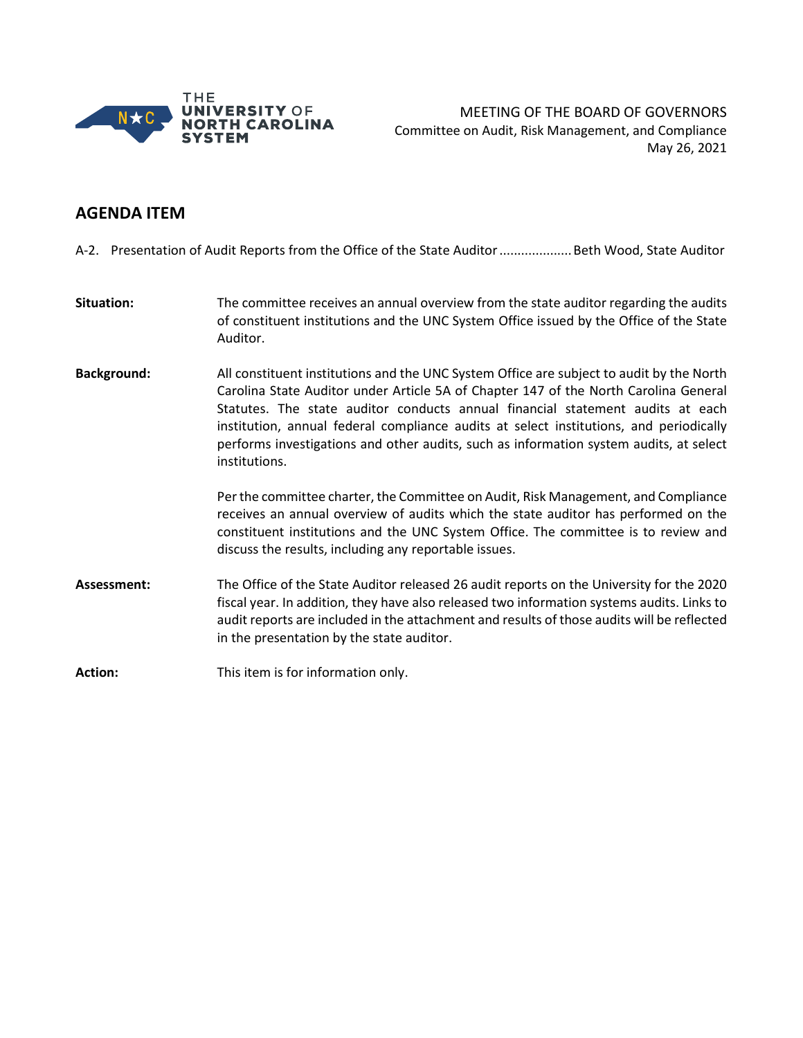

MEETING OF THE BOARD OF GOVERNORS Committee on Audit, Risk Management, and Compliance May 26, 2021

## **AGENDA ITEM**

A-2. Presentation of Audit Reports from the Office of the State Auditor....................Beth Wood, State Auditor

- **Situation:** The committee receives an annual overview from the state auditor regarding the audits of constituent institutions and the UNC System Office issued by the Office of the State Auditor.
- **Background:** All constituent institutions and the UNC System Office are subject to audit by the North Carolina State Auditor under Article 5A of Chapter 147 of the North Carolina General Statutes. The state auditor conducts annual financial statement audits at each institution, annual federal compliance audits at select institutions, and periodically performs investigations and other audits, such as information system audits, at select institutions.

Per the committee charter, the Committee on Audit, Risk Management, and Compliance receives an annual overview of audits which the state auditor has performed on the constituent institutions and the UNC System Office. The committee is to review and discuss the results, including any reportable issues.

**Assessment:** The Office of the State Auditor released 26 audit reports on the University for the 2020 fiscal year. In addition, they have also released two information systems audits. Links to audit reports are included in the attachment and results of those audits will be reflected in the presentation by the state auditor.

**Action:** This item is for information only.